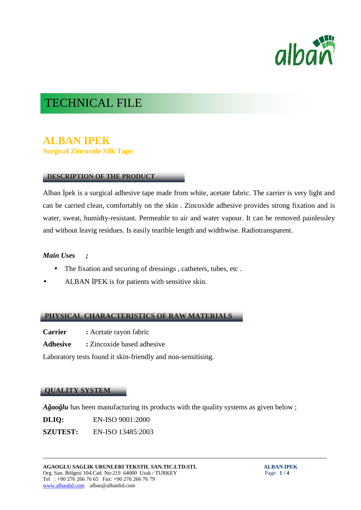

# TECHNICAL FILE

# **ALBAN IPEK Surgical Zincoxide Silk Tape**

# **DESCRIPTION OF THE PRODUCT**

Alban pek is a surgical adhesive tape made from white, acetate fabric. The carrier is very light and can be carried clean, comfortably on the skin . Zincoxide adhesive provides strong fixation and is water, sweat, humidty-resistant. Permeable to air and water vapour. It can be removed painlessley and without leavig residues. Is easily tearible length and widthwise. Radiotransparent.

## *Main Uses ;*

- The fixation and securing of dressings , catheters, tubes, etc .
- ALBAN PEK is for patients with sensitive skin.

### **PHYSICAL CHARACTERISTICS OF RAW MATERIALS**

- **Carrier :** Acetate rayon fabric
- **Adhesive :** Zincoxide based adhesive

Laboratory tests found it skin-friendly and non-sensitising.

### **QUALITY SYSTEM**

*A ao lu* has been manufacturing its products with the quality systems as given below ;

**DLIQ:** EN-ISO 9001:2000

**SZUTEST:** EN-ISO 13485:2003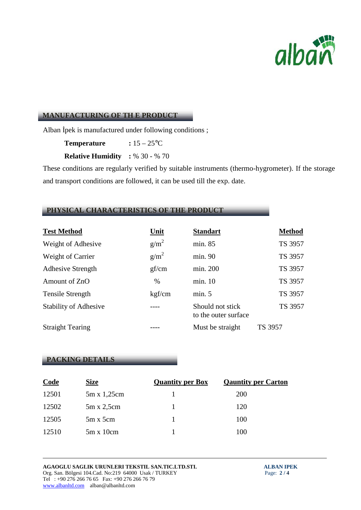

#### **MANUFACTURING OF TH E PRODUCT**

Alban pek is manufactured under following conditions;

**Temperature :** 15 – 25<sup>°</sup>C

**Relative Humidity :** % 30 - % 70

These conditions are regularly verified by suitable instruments (thermo-hygrometer). If the storage and transport conditions are followed, it can be used till the exp. date.

# **PHYSICAL CHARACTERISTICS OF THE PRODUCT**

| <b>Test Method</b>           | <b>Unit</b>      | <b>Standart</b>                          | <b>Method</b> |
|------------------------------|------------------|------------------------------------------|---------------|
| Weight of Adhesive           | g/m <sup>2</sup> | min. 85                                  | TS 3957       |
| Weight of Carrier            | g/m <sup>2</sup> | min. 90                                  | TS 3957       |
| <b>Adhesive Strength</b>     | gf/cm            | min. 200                                 | TS 3957       |
| Amount of ZnO                | $\%$             | min. 10                                  | TS 3957       |
| <b>Tensile Strength</b>      | kgf/cm           | min. 5                                   | TS 3957       |
| <b>Stability of Adhesive</b> |                  | Should not stick<br>to the outer surface | TS 3957       |
| <b>Straight Tearing</b>      |                  | Must be straight                         | TS 3957       |

### **PACKING DETAILS**

| <b>Code</b> | <b>Size</b>       | <b>Quantity per Box</b> | <b>Qauntity per Carton</b> |
|-------------|-------------------|-------------------------|----------------------------|
| 12501       | 5m x 1,25cm       |                         | 200                        |
| 12502       | $5m \times 2,5cm$ |                         | 120                        |
| 12505       | $5m \times 5cm$   |                         | 100                        |
| 12510       | $5m \times 10cm$  |                         | 100                        |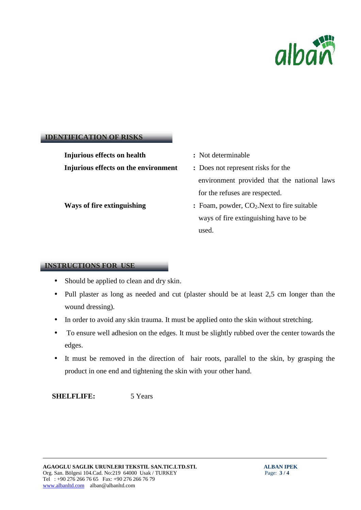

#### **IDENTIFICATION OF RISKS**

**Injurious effects on health :** Not determinable **Injurious effects on the environment :** Does not represent risks for the

- 
- environment provided that the national laws for the refuses are respected.
- **Ways of fire extinguishing : Foam, powder, CO<sub>2</sub>.Next to fire suitable** ways of fire extinguishing have to be used.

#### **INSTRUCTIONS FOR USE**

- Should be applied to clean and dry skin.
- Pull plaster as long as needed and cut (plaster should be at least 2,5 cm longer than the wound dressing).
- In order to avoid any skin trauma. It must be applied onto the skin without stretching.
- To ensure well adhesion on the edges. It must be slightly rubbed over the center towards the edges.
- It must be removed in the direction of hair roots, parallel to the skin, by grasping the product in one end and tightening the skin with your other hand.

**SHELFLIFE:** 5 Years